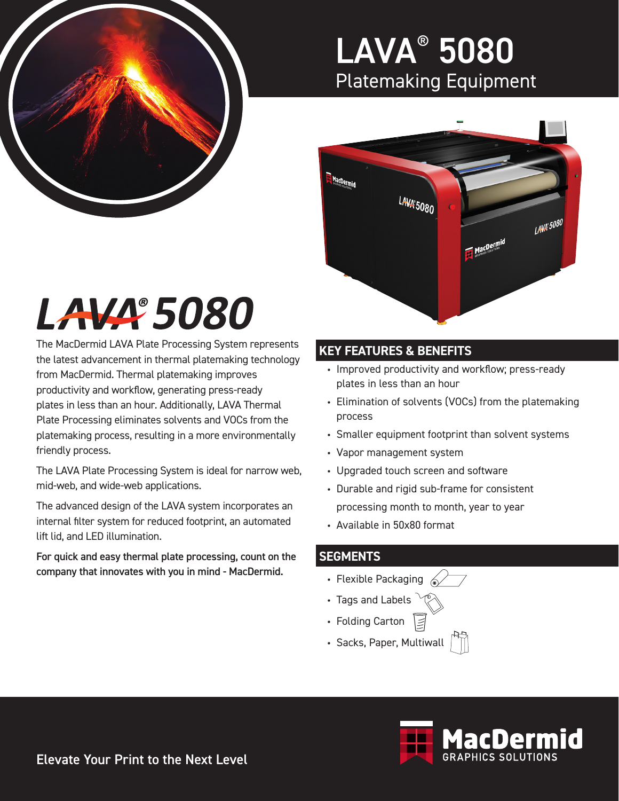

### LAVA® 5080 Platemaking Equipment



# LAVA 5080

The MacDermid LAVA Plate Processing System represents the latest advancement in thermal platemaking technology from MacDermid. Thermal platemaking improves productivity and workflow, generating press-ready plates in less than an hour. Additionally, LAVA Thermal Plate Processing eliminates solvents and VOCs from the platemaking process, resulting in a more environmentally friendly process.

The LAVA Plate Processing System is ideal for narrow web, mid-web, and wide-web applications.

The advanced design of the LAVA system incorporates an internal filter system for reduced footprint, an automated lift lid, and LED illumination.

For quick and easy thermal plate processing, count on the company that innovates with you in mind - MacDermid.

### **KEY FEATURES & BENEFITS**

- Improved productivity and workflow; press-ready plates in less than an hour
- Elimination of solvents (VOCs) from the platemaking process
- Smaller equipment footprint than solvent systems
- Vapor management system
- Upgraded touch screen and software
- Durable and rigid sub-frame for consistent processing month to month, year to year
- Available in 50x80 format

#### **SEGMENTS**

- Flexible Packaging  $\mathbb{Z}$
- Tags and Labels
- Folding Carton
- Sacks, Paper, Multiwall